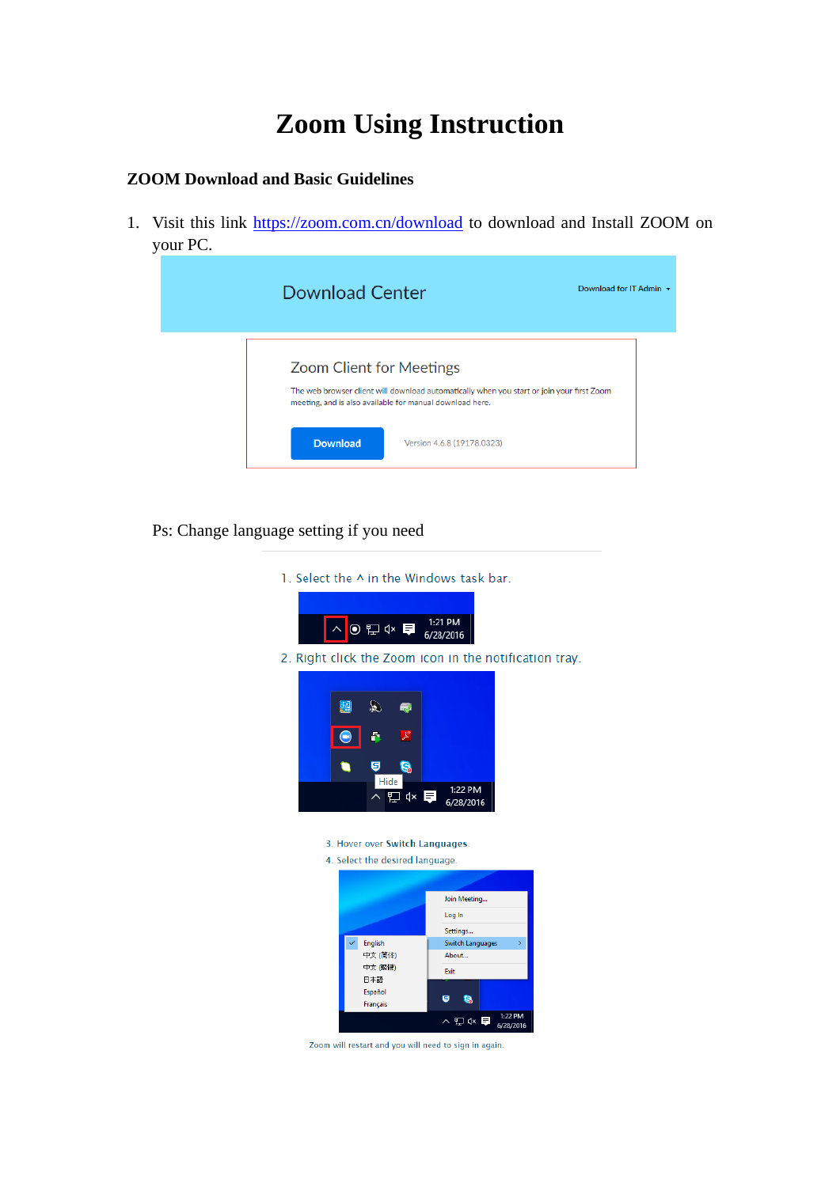## **Zoom Using Instruction**

## **ZOOM Download and Basic Guidelines**

1. Visit this link<https://zoom.com.cn/download> to download and Install ZOOM on your PC.

| <b>Download Center</b>                                                                                                                                                                   | Download for IT Admin $\sim$ |
|------------------------------------------------------------------------------------------------------------------------------------------------------------------------------------------|------------------------------|
| <b>Zoom Client for Meetings</b><br>The web browser client will download automatically when you start or join your first Zoom<br>meeting, and is also available for manual download here. |                              |
| <b>Download</b><br>Version 4.6.8 (19178.0323)                                                                                                                                            |                              |

- Ps: Change language setting if you need
	- 1. Select the ^ in the Windows task bar.



2. Right click the Zoom icon in the notification tray.



- 3. Hover over Switch Languages.
- 4 Select the desired language



Zoom will restart and you will need to sign in again.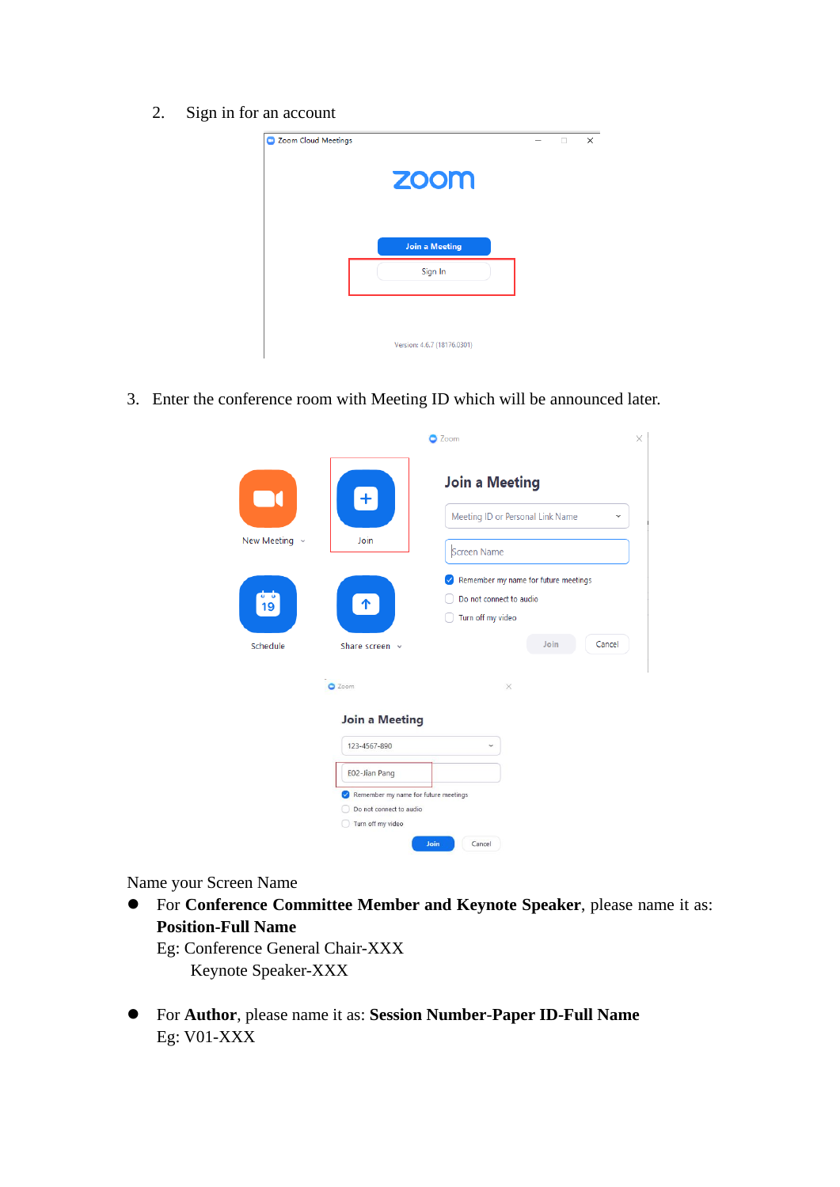2. Sign in for an account



3. Enter the conference room with Meeting ID which will be announced later.

|                            |                                                                                                                                                | Zoom                                                                                                   |  |  |
|----------------------------|------------------------------------------------------------------------------------------------------------------------------------------------|--------------------------------------------------------------------------------------------------------|--|--|
| New Meeting $\sim$         | $+$<br>Join                                                                                                                                    | <b>Join a Meeting</b><br>Meeting ID or Personal Link Name<br>$\checkmark$<br>Screen Name               |  |  |
| $\frac{1}{19}$<br>Schedule | $\uparrow$<br>Share screen v                                                                                                                   | Remember my name for future meetings<br>Do not connect to audio<br>Turn off my video<br>Join<br>Cancel |  |  |
|                            | C Zoom                                                                                                                                         | $\times$                                                                                               |  |  |
|                            | <b>Join a Meeting</b><br>123-4567-890<br>E02-Jian Pang<br>Remember my name for future meetings<br>Do not connect to audio<br>Turn off my video | Ŵ                                                                                                      |  |  |

Name your Screen Name

 For **Conference Committee Member and Keynote Speaker**, please name it as: **Position-Full Name**

Eg: Conference General Chair-XXX Keynote Speaker-XXX

 For **Author**, please name it as: **Session Number**-**Paper ID-Full Name** Eg: V01-XXX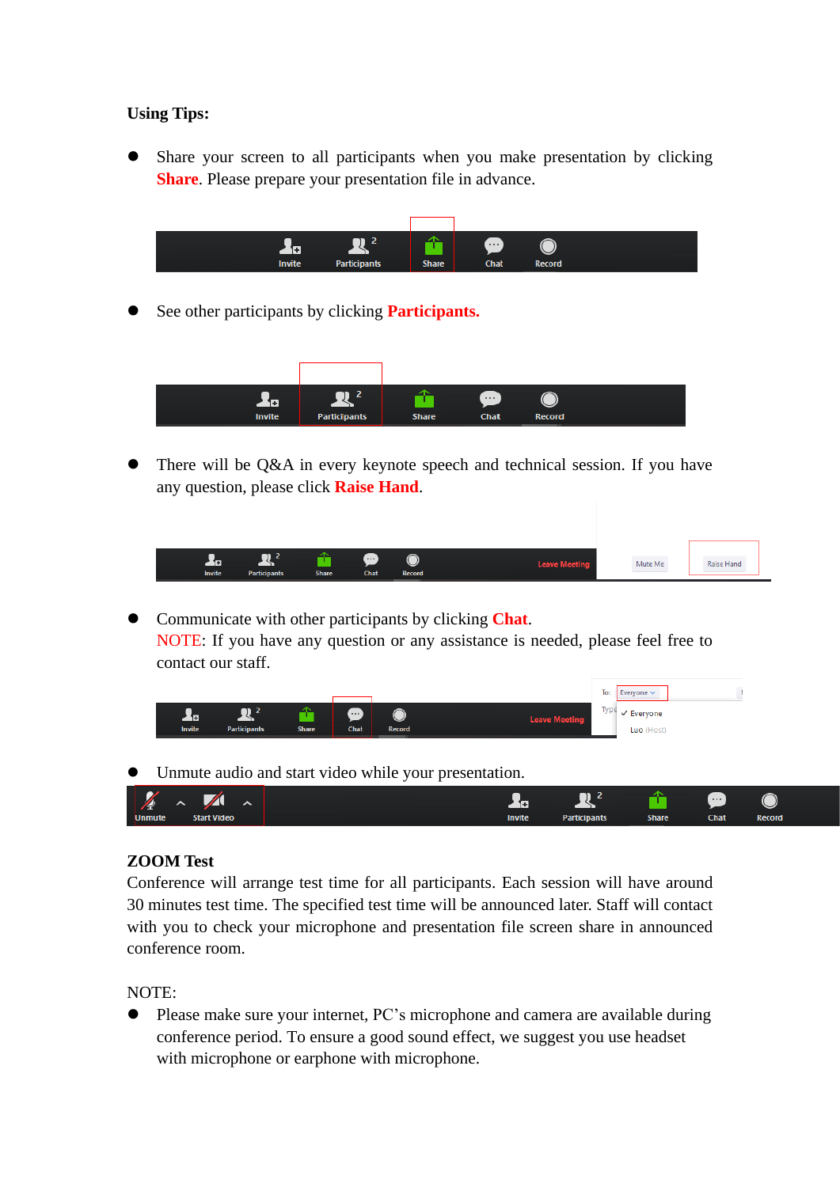## **Using Tips:**

 Share your screen to all participants when you make presentation by clicking **Share**. Please prepare your presentation file in advance.



See other participants by clicking **Participants.**



 There will be Q&A in every keynote speech and technical session. If you have any question, please click **Raise Hand**.

| ஈ<br><b>Invite</b> | <b>Participants</b> | <b>Share</b> | $\cdots$<br><b>Chat</b> | ⌒<br>$\smile$<br><b>Record</b> | Leave Meeti | Mute Me | Raise Hano |
|--------------------|---------------------|--------------|-------------------------|--------------------------------|-------------|---------|------------|
|                    |                     |              |                         |                                |             |         |            |

 Communicate with other participants by clicking **Chat**. NOTE: If you have any question or any assistance is needed, please feel free to contact our staff.



Unmute audio and start video while your presentation.



## **ZOOM Test**

Conference will arrange test time for all participants. Each session will have around 30 minutes test time. The specified test time will be announced later. Staff will contact with you to check your microphone and presentation file screen share in announced conference room.

NOTE:

 Please make sure your internet, PC's microphone and camera are available during conference period. To ensure a good sound effect, we suggest you use headset with microphone or earphone with microphone.